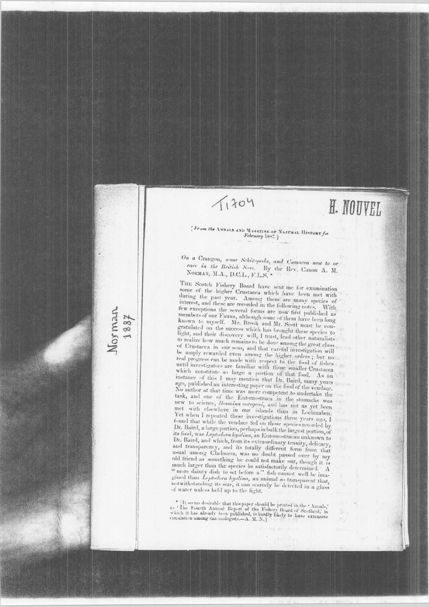## $11304$

Morman

# H. NOUVEL

## [From the ANNALS AND MAGAZINE OF NATURAL HISTORY for February 1887.]

On a Crangon, some Schizopoda, and Camacea new to or rare in the British Seas. By the Rev. Canon A. M. NORMAN, M.A., D.C.L., F.L.S.

THE Scotch Fishery Board have sent me for examination some of the higher Crustacea which have been met with during the past year. Among them are many species of interest, and these are recorded in the following notes. few exceptions the several forms are now first published as With members of our Fauna, although some of them have been long known to myself. Mr. Brook and Mr. Scott must be congratulated on the success which has brought these species to light, and their discovery will, I trust, lead other naturalists to realize how much remains to be done among the great class of Crustacea in our seas, and that careful investigation will or Crustacea in our seas, and that careful investigation win<br>be amply rewarded even among the higher orders; but not<br>real progress can be made with respect to the food of fishes<br>until investigators are familiar with those which constitute so large a portion of that food. As an instance of this I may mention that Dr. Baird, many years ago, published an interesting paper on the food of the vendage. No author at that time was more competent to undertake the task, and one of the Entomostraca in the stomachs was new to science, Bosmina coregoni, and has not as yet been met with elsewhere in our islands than in Lochmaben. Yet when I repeated these investigations three years ago, I found that while the vendace fed on those species recorded by Dr. Baird, a large portion, perhaps in bulk the largest portion, of its food, was Leptodora hyalina, an Entomostracan unknown to Dr. Baird, and which, from its extraordinary tenuity, delicacy, and transparency, and its totally different form from that usual among Cladocera, was no doubt passed over hy my distant among Characteria, was no unuse passed over my my much larger than the species he satisfactorily determined. A " more dainty dish to set before a " fish cannot well be imagined than Leptodora hyalina, an animal so transparent that, notwithstanding its size, it can scarcely be detected in a glass of water unless held up to the light.

 $\bullet$  [It seems desirable that this paper should be printed in the 'Annals,' a- 'The Fourth Annual Report of the Fishery Board of Scotland,' in which it has already been published, is bardly likely to have extensive cricul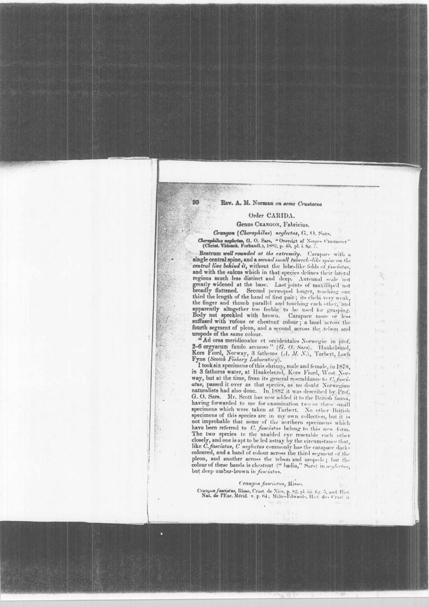### Rev. A. M. Norman on some Crustacea

90

b.

## Order CARIDA.

#### Genus CRANGON, Fabricius. Crangon (Cheraphilus) neglectus, G. O. Sars.

**Reraphilus neglectus, G. O. Sars, "Oversigt af Norges Crustaceer"** (Christ, Vidensk, Forhandl.), 1882, p. 45, pl. i. fig. 7.  $C$ lion

Rostrum well rounded at the extremity. Carapace with a single central spine, and a second small tubercle-like spine on the central line behind it, without the lobe-like folds of *fusciatus*, and with the sulcus which in that species defines their lateral and with the suicas which in that species defines the include regions much less distinct and deep. Antennal scale not greatly widened at the base. Last joints of maxilliped not broadly flattened. Second perseopod longer, r third the length of the hand of first pair; its chela very weak, the finger and thumb parallel and touching each other, and apparently altogether too feeble to be used for grasping. Body not speckled with brown. Carapace more or less suffused with rufous or chestnut colour; a band across the fourth segment of pleon, and a second across the telson and uropods of the same colour.

"Ad oras meridionales et occidentales Norwegia: in prof.<br>2-6 orgyarum fundo arenoso" (G. O. Sars). Haakelsund,<br>Kors Fiord, Norway, 3 fathoms (A. M. N.), Tarbert, Loch<br>Fyne (Scotch Fishery Laboratory).

I tooksix specimens of this shrimp, male and female, in 1878, in 3 fathoms water, at Haakelsund, Kors Fiord, West Norway, but at the time, from its general resemblance to U, fasciatus, passed it over as that species, as no doubt Norwegian naturalists had also done. In 1882 it was described by Prof. G. O. Sars. Mr. Scott has now added it to the British fauna, having forwarded to me for examination two or three small specimens which were taken at Tarbert. No other British specimens of this species are in my own collection, but it is not improbable that some of the northern specimens which have been referred to C. fasciatus belong to this new form. The two species to the unaided eye resemble each other closely, and one is apt to be led astray by the circumstance that, like C. fasciatus, C neglectus commonly has the carapace dark-coloured, and a band of colour across the third segment of the pleon, and another across the telson and uropods; but the colour of these bands is chestnut ("badia," Sars) in neglectus, but deep umber-brown in fasciatus.

#### Crangon fasciatus, Risso.

Crangon fasciatus, Risso, Crust. de Nice, p. 82, pl. iii. fig. 5, and Hist Nat. de FEur. Mérid. v. p. 64; Milne-Edwards, Hist. des Crust. ii